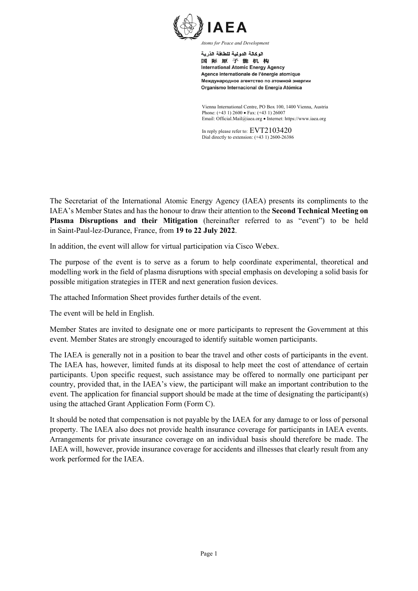

اله كالة الدو لبة للطاقة الذر بة 国际原子能机构 **International Atomic Energy Agency** Agence internationale de l'énergie atomique Международное агентство по атомной энергии Organismo Internacional de Energía Atómica

Vienna International Centre, PO Box 100, 1400 Vienna, Austria Phone: (+43 1) 2600 • Fax: (+43 1) 26007 Email: Official.Mail@iaea.org • Internet: https://www.iaea.org

In reply please refer to: EVT2103420 Dial directly to extension: (+43 1) 2600-26386

The Secretariat of the International Atomic Energy Agency (IAEA) presents its compliments to the IAEA's Member States and has the honour to draw their attention to the **Second Technical Meeting on Plasma Disruptions and their Mitigation** (hereinafter referred to as "event") to be held in Saint-Paul-lez-Durance, France, from **19 to 22 July 2022**.

In addition, the event will allow for virtual participation via Cisco Webex.

The purpose of the event is to serve as a forum to help coordinate experimental, theoretical and modelling work in the field of plasma disruptions with special emphasis on developing a solid basis for possible mitigation strategies in ITER and next generation fusion devices.

The attached Information Sheet provides further details of the event.

The event will be held in English.

Member States are invited to designate one or more participants to represent the Government at this event. Member States are strongly encouraged to identify suitable women participants.

The IAEA is generally not in a position to bear the travel and other costs of participants in the event. The IAEA has, however, limited funds at its disposal to help meet the cost of attendance of certain participants. Upon specific request, such assistance may be offered to normally one participant per country, provided that, in the IAEA's view, the participant will make an important contribution to the event. The application for financial support should be made at the time of designating the participant(s) using the attached Grant Application Form (Form C).

It should be noted that compensation is not payable by the IAEA for any damage to or loss of personal property. The IAEA also does not provide health insurance coverage for participants in IAEA events. Arrangements for private insurance coverage on an individual basis should therefore be made. The IAEA will, however, provide insurance coverage for accidents and illnesses that clearly result from any work performed for the IAEA.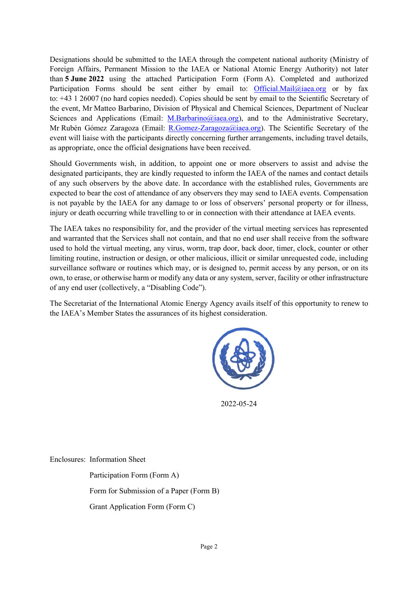Designations should be submitted to the IAEA through the competent national authority (Ministry of Foreign Affairs, Permanent Mission to the IAEA or National Atomic Energy Authority) not later than **5 June 2022** using the attached Participation Form (Form A). Completed and authorized Participation Forms should be sent either by email to: [Official.Mail@iaea.org](mailto:official.mail@iaea.org) or by fax to: +43 1 26007 (no hard copies needed). Copies should be sent by email to the Scientific Secretary of the event, Mr Matteo Barbarino, Division of Physical and Chemical Sciences, Department of Nuclear Sciences and Applications (Email: [M.Barbarino@iaea.org\)](mailto:M.Barbarino@iaea.org), and to the Administrative Secretary, Mr Rubén Gómez Zaragoza (Email: [R.Gomez-Zaragoza@iaea.org\)](mailto:R.Gomez-Zaragoza@iaea.org). The Scientific Secretary of the event will liaise with the participants directly concerning further arrangements, including travel details, as appropriate, once the official designations have been received.

Should Governments wish, in addition, to appoint one or more observers to assist and advise the designated participants, they are kindly requested to inform the IAEA of the names and contact details of any such observers by the above date. In accordance with the established rules, Governments are expected to bear the cost of attendance of any observers they may send to IAEA events. Compensation is not payable by the IAEA for any damage to or loss of observers' personal property or for illness, injury or death occurring while travelling to or in connection with their attendance at IAEA events.

The IAEA takes no responsibility for, and the provider of the virtual meeting services has represented and warranted that the Services shall not contain, and that no end user shall receive from the software used to hold the virtual meeting, any virus, worm, trap door, back door, timer, clock, counter or other limiting routine, instruction or design, or other malicious, illicit or similar unrequested code, including surveillance software or routines which may, or is designed to, permit access by any person, or on its own, to erase, or otherwise harm or modify any data or any system, server, facility or other infrastructure of any end user (collectively, a "Disabling Code").

The Secretariat of the International Atomic Energy Agency avails itself of this opportunity to renew to the IAEA's Member States the assurances of its highest consideration.



2022-05-24

Enclosures: Information Sheet

Participation Form (Form A) Form for Submission of a Paper (Form B) Grant Application Form (Form C)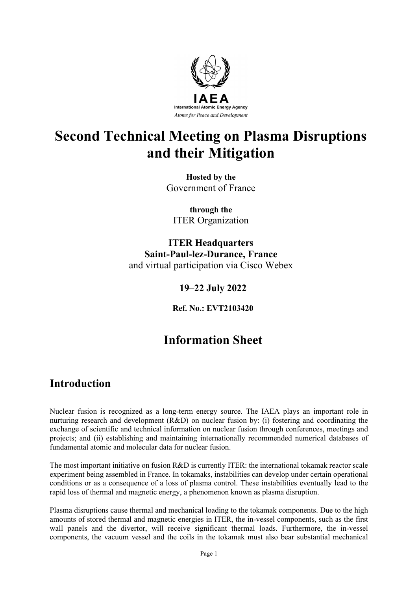

# **Second Technical Meeting on Plasma Disruptions and their Mitigation**

**Hosted by the** Government of France

**through the** ITER Organization

**ITER Headquarters Saint-Paul-lez-Durance, France** and virtual participation via Cisco Webex

### **19–22 July 2022**

**Ref. No.: EVT2103420**

# **Information Sheet**

## **Introduction**

Nuclear fusion is recognized as a long-term energy source. The IAEA plays an important role in nurturing research and development (R&D) on nuclear fusion by: (i) fostering and coordinating the exchange of scientific and technical information on nuclear fusion through conferences, meetings and projects; and (ii) establishing and maintaining internationally recommended numerical databases of fundamental atomic and molecular data for nuclear fusion.

The most important initiative on fusion R&D is currently ITER: the international tokamak reactor scale experiment being assembled in France. In tokamaks, instabilities can develop under certain operational conditions or as a consequence of a loss of plasma control. These instabilities eventually lead to the rapid loss of thermal and magnetic energy, a phenomenon known as plasma disruption.

Plasma disruptions cause thermal and mechanical loading to the tokamak components. Due to the high amounts of stored thermal and magnetic energies in ITER, the in-vessel components, such as the first wall panels and the divertor, will receive significant thermal loads. Furthermore, the in-vessel components, the vacuum vessel and the coils in the tokamak must also bear substantial mechanical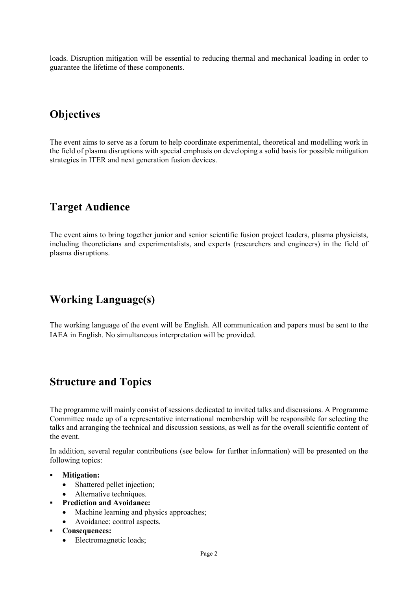loads. Disruption mitigation will be essential to reducing thermal and mechanical loading in order to guarantee the lifetime of these components.

## **Objectives**

The event aims to serve as a forum to help coordinate experimental, theoretical and modelling work in the field of plasma disruptions with special emphasis on developing a solid basis for possible mitigation strategies in ITER and next generation fusion devices.

## **Target Audience**

The event aims to bring together junior and senior scientific fusion project leaders, plasma physicists, including theoreticians and experimentalists, and experts (researchers and engineers) in the field of plasma disruptions.

## **Working Language(s)**

The working language of the event will be English. All communication and papers must be sent to the IAEA in English. No simultaneous interpretation will be provided.

## **Structure and Topics**

The programme will mainly consist of sessions dedicated to invited talks and discussions. A Programme Committee made up of a representative international membership will be responsible for selecting the talks and arranging the technical and discussion sessions, as well as for the overall scientific content of the event.

In addition, several regular contributions (see below for further information) will be presented on the following topics:

- **Mitigation:**
	- Shattered pellet injection;
	- Alternative techniques.
- **Prediction and Avoidance:**
	- Machine learning and physics approaches;
	- Avoidance: control aspects.
- **Consequences:**
	- Electromagnetic loads;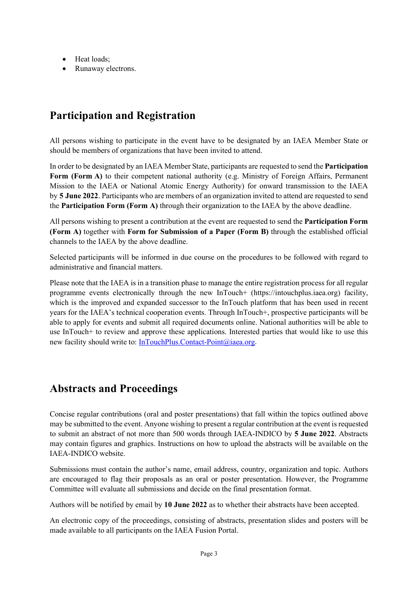- Heat loads;
- Runaway electrons.

## **Participation and Registration**

All persons wishing to participate in the event have to be designated by an IAEA Member State or should be members of organizations that have been invited to attend.

In order to be designated by an IAEA Member State, participants are requested to send the **Participation Form (Form A)** to their competent national authority (e.g. Ministry of Foreign Affairs, Permanent Mission to the IAEA or National Atomic Energy Authority) for onward transmission to the IAEA by **5 June 2022**. Participants who are members of an organization invited to attend are requested to send the **Participation Form (Form A)** through their organization to the IAEA by the above deadline.

All persons wishing to present a contribution at the event are requested to send the **Participation Form (Form A)** together with **Form for Submission of a Paper (Form B)** through the established official channels to the IAEA by the above deadline.

Selected participants will be informed in due course on the procedures to be followed with regard to administrative and financial matters.

Please note that the IAEA is in a transition phase to manage the entire registration process for all regular programme events electronically through the new InTouch+ (https://intouchplus.iaea.org) facility, which is the improved and expanded successor to the InTouch platform that has been used in recent years for the IAEA's technical cooperation events. Through InTouch+, prospective participants will be able to apply for events and submit all required documents online. National authorities will be able to use InTouch+ to review and approve these applications. Interested parties that would like to use this new facility should write to: [InTouchPlus.Contact-Point@iaea.org.](mailto:InTouchPlus.Contact-Point@iaea.org)

### **Abstracts and Proceedings**

Concise regular contributions (oral and poster presentations) that fall within the topics outlined above may be submitted to the event. Anyone wishing to present a regular contribution at the event is requested to submit an abstract of not more than 500 words through IAEA-INDICO by **5 June 2022**. Abstracts may contain figures and graphics. Instructions on how to upload the abstracts will be available on the IAEA-INDICO website.

Submissions must contain the author's name, email address, country, organization and topic. Authors are encouraged to flag their proposals as an oral or poster presentation. However, the Programme Committee will evaluate all submissions and decide on the final presentation format.

Authors will be notified by email by **10 June 2022** as to whether their abstracts have been accepted.

An electronic copy of the proceedings, consisting of abstracts, presentation slides and posters will be made available to all participants on the IAEA Fusion Portal.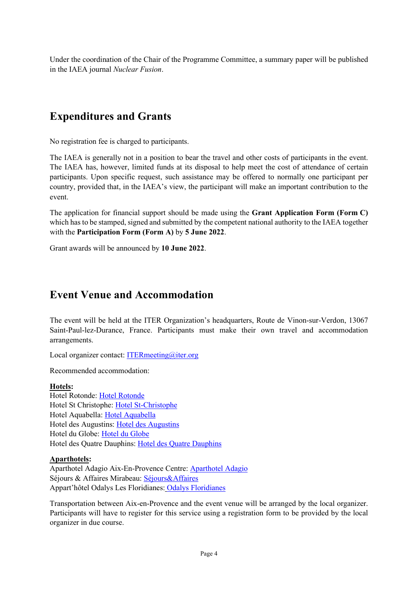Under the coordination of the Chair of the Programme Committee, a summary paper will be published in the IAEA journal *Nuclear Fusion*.

### **Expenditures and Grants**

No registration fee is charged to participants.

The IAEA is generally not in a position to bear the travel and other costs of participants in the event. The IAEA has, however, limited funds at its disposal to help meet the cost of attendance of certain participants. Upon specific request, such assistance may be offered to normally one participant per country, provided that, in the IAEA's view, the participant will make an important contribution to the event.

The application for financial support should be made using the **Grant Application Form (Form C)** which has to be stamped, signed and submitted by the competent national authority to the IAEA together with the **Participation Form (Form A)** by **5 June 2022**.

Grant awards will be announced by **10 June 2022**.

### **Event Venue and Accommodation**

The event will be held at the ITER Organization's headquarters, Route de Vinon-sur-Verdon, 13067 Saint-Paul-lez-Durance, France. Participants must make their own travel and accommodation arrangements.

Local organizer contact: [ITERmeeting@iter.org](mailto:ITERmeeting@iter.org)

Recommended accommodation:

#### **Hotels:**

Hotel Rotonde: [Hotel Rotonde](http://www.hotel-rotonde.com/) Hotel St Christophe: [Hotel St-Christophe](http://www.hotel-saintchristophe.com/en/index.php) Hotel Aquabella: [Hotel Aquabella](http://www.aquabella.fr/en/) Hotel des Augustins: [Hotel des Augustins](https://hotel-augustins.com/) Hotel du Globe: [Hotel du Globe](http://hotelduglobe.com/) Hotel des Quatre Dauphins: [Hotel des Quatre Dauphins](https://www.hotel-aix-lesquatredauphins.fr/chambres-hotel-aix-en-provence.html)

#### **Aparthotels:**

Aparthotel Adagio Aix-En-Provence Centre[: Aparthotel Adagio](http://www.adagio-city.com/gb/hotel-6796-aparthotel-adagio-aix-en-provence-centre/index.shtml) Séjours & Affaires Mirabeau[: Séjours&Affaires](http://www.sejours-affaires.com/residence-hoteliere-aparthotel-aix-26.html) Appart'hôtel Odalys Les Floridianes: [Odalys Floridianes](https://www.odalys-vacances.com/location-campagne/provence-et-luberon/aix-en-provence/les-floridianes.html?idprestation=7546&idtypeprestation=1&tab=1&saison_b=h&datedebut=24/12/2019&duree=7)

Transportation between Aix-en-Provence and the event venue will be arranged by the local organizer. Participants will have to register for this service using a registration form to be provided by the local organizer in due course.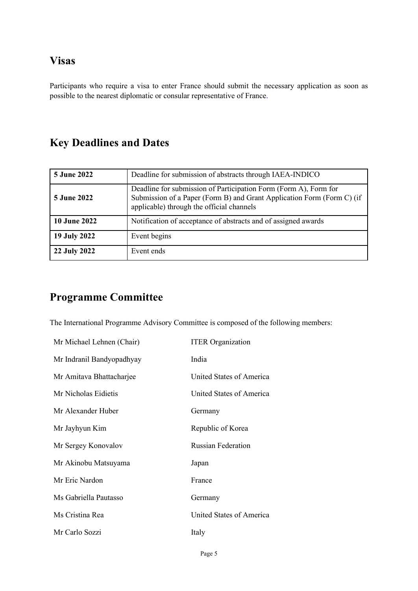### **Visas**

Participants who require a visa to enter France should submit the necessary application as soon as possible to the nearest diplomatic or consular representative of France.

# **Key Deadlines and Dates**

| <b>5 June 2022</b>  | Deadline for submission of abstracts through IAEA-INDICO                                                                                                                                |
|---------------------|-----------------------------------------------------------------------------------------------------------------------------------------------------------------------------------------|
| <b>5 June 2022</b>  | Deadline for submission of Participation Form (Form A), Form for<br>Submission of a Paper (Form B) and Grant Application Form (Form C) (if<br>applicable) through the official channels |
| <b>10 June 2022</b> | Notification of acceptance of abstracts and of assigned awards                                                                                                                          |
| 19 July 2022        | Event begins                                                                                                                                                                            |
| 22 July 2022        | Event ends                                                                                                                                                                              |

# **Programme Committee**

The International Programme Advisory Committee is composed of the following members:

| Mr Michael Lehnen (Chair) | <b>ITER</b> Organization  |
|---------------------------|---------------------------|
| Mr Indranil Bandyopadhyay | India                     |
| Mr Amitava Bhattacharjee  | United States of America  |
| Mr Nicholas Eidietis      | United States of America  |
| Mr Alexander Huber        | Germany                   |
| Mr Jayhyun Kim            | Republic of Korea         |
| Mr Sergey Konovalov       | <b>Russian Federation</b> |
| Mr Akinobu Matsuyama      | Japan                     |
| Mr Eric Nardon            | France                    |
| Ms Gabriella Pautasso     | Germany                   |
| Ms Cristina Rea           | United States of America  |
| Mr Carlo Sozzi            | Italy                     |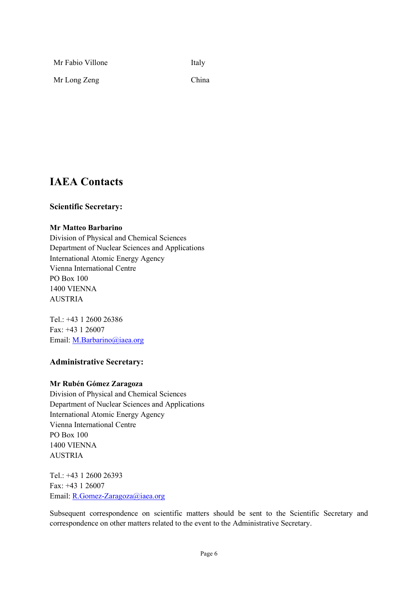| Mr Fabio Villone | Italy |
|------------------|-------|
| Mr Long Zeng     | China |

### **IAEA Contacts**

### **Scientific Secretary:**

#### **Mr Matteo Barbarino**

Division of Physical and Chemical Sciences Department of Nuclear Sciences and Applications International Atomic Energy Agency Vienna International Centre PO Box 100 1400 VIENNA AUSTRIA

Tel.: +43 1 2600 26386 Fax: +43 1 26007 Email: [M.Barbarino@iaea.org](mailto:M.Barbarino@iaea.org)

### **Administrative Secretary:**

#### **Mr Rubén Gómez Zaragoza**

Division of Physical and Chemical Sciences Department of Nuclear Sciences and Applications International Atomic Energy Agency Vienna International Centre PO Box 100 1400 VIENNA AUSTRIA

Tel.: +43 1 2600 26393 Fax: +43 1 26007 Email: [R.Gomez-Zaragoza@iaea.org](mailto:R.Gomez-Zaragoza@iaea.org)

Subsequent correspondence on scientific matters should be sent to the Scientific Secretary and correspondence on other matters related to the event to the Administrative Secretary.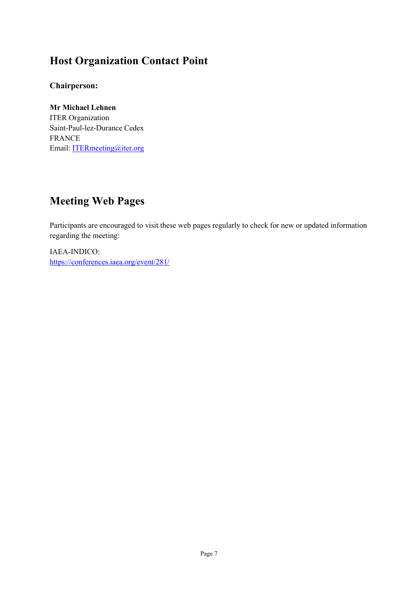# **Host Organization Contact Point**

### **Chairperson:**

**Mr Michael Lehnen** ITER Organization Saint-Paul-lez-Durance Cedex FRANCE Email: [ITERmeeting@iter.org](mailto:ITERmeeting@iter.org)

# **Meeting Web Pages**

Participants are encouraged to visit these web pages regularly to check for new or updated information regarding the meeting:

IAEA-INDICO: <https://conferences.iaea.org/event/281/>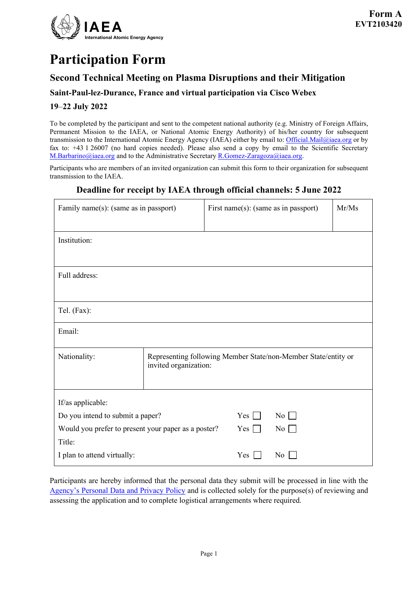

# **Participation Form**

### **Second Technical Meeting on Plasma Disruptions and their Mitigation**

### **Saint-Paul-lez-Durance, France and virtual participation via Cisco Webex**

### **19**–**22 July 2022**

To be completed by the participant and sent to the competent national authority (e.g. Ministry of Foreign Affairs, Permanent Mission to the IAEA, or National Atomic Energy Authority) of his/her country for subsequent transmission to the International Atomic Energy Agency (IAEA) either by email to[: Official.Mail@iaea.org](mailto:official.mail@iaea.org) or by fax to: +43 1 26007 (no hard copies needed). Please also send a copy by email to the Scientific Secretary [M.Barbarino@iaea.org](mailto:M.Barbarino@iaea.org) and to the Administrative Secretar[y R.Gomez-Zaragoza@iaea.org.](mailto:R.Gomez-Zaragoza@iaea.org)

Participants who are members of an invited organization can submit this form to their organization for subsequent transmission to the IAEA.

### **Deadline for receipt by IAEA through official channels: 5 June 2022**

| Family name(s): (same as in passport)               |                                                                                         | First name(s): (same as in passport) |                  | Mr/Ms |
|-----------------------------------------------------|-----------------------------------------------------------------------------------------|--------------------------------------|------------------|-------|
| Institution:                                        |                                                                                         |                                      |                  |       |
| Full address:                                       |                                                                                         |                                      |                  |       |
| Tel. (Fax):                                         |                                                                                         |                                      |                  |       |
| Email:                                              |                                                                                         |                                      |                  |       |
| Nationality:                                        | Representing following Member State/non-Member State/entity or<br>invited organization: |                                      |                  |       |
| If/as applicable:                                   |                                                                                         |                                      |                  |       |
| Do you intend to submit a paper?                    |                                                                                         | $Yes \Box$                           | $\overline{N_0}$ |       |
| Would you prefer to present your paper as a poster? |                                                                                         | $Yes \Box$                           | $\overline{N_0}$ |       |
| Title:                                              |                                                                                         |                                      |                  |       |
| I plan to attend virtually:                         |                                                                                         | Yes                                  | No               |       |

Participants are hereby informed that the personal data they submit will be processed in line with the [Agency's Personal Data and Privacy Policy](https://www.iaea.org/about/privacy-policy#:%7E:text=The%20IAEA%20is%20committed%20to,accountable%20and%20non%2Ddiscriminatory%20manner.&text=The%20Privacy%20Policy%20provides%20the,carrying%20out%20its%20mandated%20activities.) and is collected solely for the purpose(s) of reviewing and assessing the application and to complete logistical arrangements where required.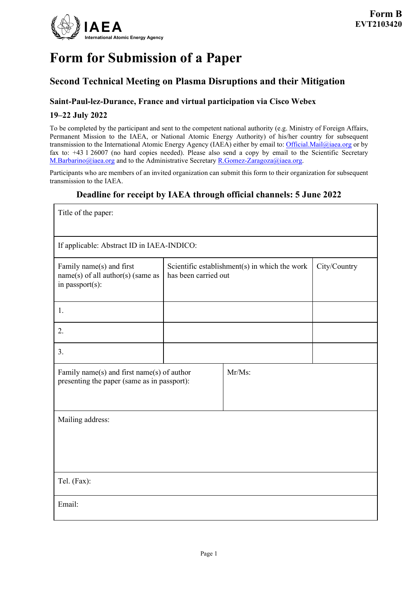

# **Form for Submission of a Paper**

### **Second Technical Meeting on Plasma Disruptions and their Mitigation**

### **Saint-Paul-lez-Durance, France and virtual participation via Cisco Webex**

#### **19–22 July 2022**

To be completed by the participant and sent to the competent national authority (e.g. Ministry of Foreign Affairs, Permanent Mission to the IAEA, or National Atomic Energy Authority) of his/her country for subsequent transmission to the International Atomic Energy Agency (IAEA) either by email to: [Official.Mail@iaea.org](mailto:official.mail@iaea.org) or by fax to: +43 1 26007 (no hard copies needed). Please also send a copy by email to the Scientific Secretary [M.Barbarino@iaea.org](mailto:M.Barbarino@iaea.org) and to the Administrative Secretar[y R.Gomez-Zaragoza@iaea.org.](mailto:R.Gomez-Zaragoza@iaea.org)

Participants who are members of an invited organization can submit this form to their organization for subsequent transmission to the IAEA.

### **Deadline for receipt by IAEA through official channels: 5 June 2022**

| Title of the paper:                                                                                 |                                                                       |  |              |  |  |
|-----------------------------------------------------------------------------------------------------|-----------------------------------------------------------------------|--|--------------|--|--|
| If applicable: Abstract ID in IAEA-INDICO:                                                          |                                                                       |  |              |  |  |
| Family name(s) and first<br>$name(s)$ of all author(s) (same as<br>in passport(s):                  | Scientific establishment(s) in which the work<br>has been carried out |  | City/Country |  |  |
| 1.                                                                                                  |                                                                       |  |              |  |  |
| 2.                                                                                                  |                                                                       |  |              |  |  |
| 3.                                                                                                  |                                                                       |  |              |  |  |
| Mr/Ms:<br>Family name(s) and first name(s) of author<br>presenting the paper (same as in passport): |                                                                       |  |              |  |  |
| Mailing address:                                                                                    |                                                                       |  |              |  |  |
| Tel. (Fax):                                                                                         |                                                                       |  |              |  |  |
| Email:                                                                                              |                                                                       |  |              |  |  |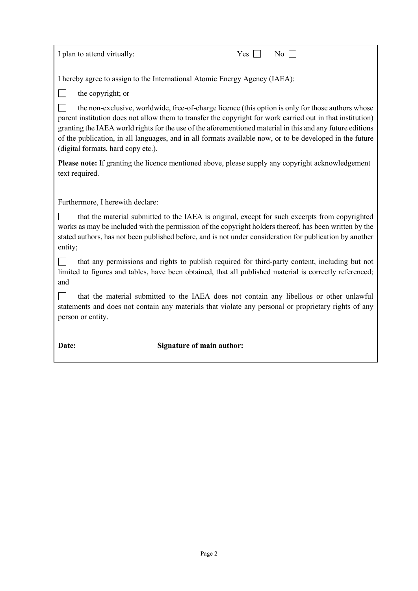| I plan to attend virtually:<br>No<br>Yes                                                                                                                                                                                                                                                                                                                                                                                                                                       |  |  |  |  |  |
|--------------------------------------------------------------------------------------------------------------------------------------------------------------------------------------------------------------------------------------------------------------------------------------------------------------------------------------------------------------------------------------------------------------------------------------------------------------------------------|--|--|--|--|--|
| I hereby agree to assign to the International Atomic Energy Agency (IAEA):                                                                                                                                                                                                                                                                                                                                                                                                     |  |  |  |  |  |
| the copyright; or                                                                                                                                                                                                                                                                                                                                                                                                                                                              |  |  |  |  |  |
| the non-exclusive, worldwide, free-of-charge licence (this option is only for those authors whose<br>parent institution does not allow them to transfer the copyright for work carried out in that institution)<br>granting the IAEA world rights for the use of the aforementioned material in this and any future editions<br>of the publication, in all languages, and in all formats available now, or to be developed in the future<br>(digital formats, hard copy etc.). |  |  |  |  |  |
| <b>Please note:</b> If granting the licence mentioned above, please supply any copyright acknowledgement<br>text required.                                                                                                                                                                                                                                                                                                                                                     |  |  |  |  |  |
| Furthermore, I herewith declare:                                                                                                                                                                                                                                                                                                                                                                                                                                               |  |  |  |  |  |
| that the material submitted to the IAEA is original, except for such excerpts from copyrighted<br>works as may be included with the permission of the copyright holders thereof, has been written by the<br>stated authors, has not been published before, and is not under consideration for publication by another<br>entity;                                                                                                                                                |  |  |  |  |  |
| that any permissions and rights to publish required for third-party content, including but not<br>limited to figures and tables, have been obtained, that all published material is correctly referenced;<br>and                                                                                                                                                                                                                                                               |  |  |  |  |  |
| that the material submitted to the IAEA does not contain any libellous or other unlawful<br>statements and does not contain any materials that violate any personal or proprietary rights of any<br>person or entity.                                                                                                                                                                                                                                                          |  |  |  |  |  |
| <b>Signature of main author:</b><br>Date:                                                                                                                                                                                                                                                                                                                                                                                                                                      |  |  |  |  |  |